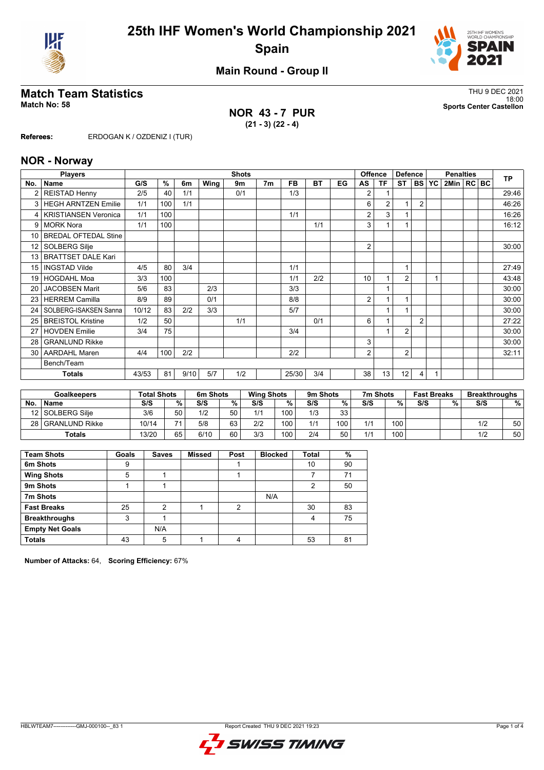



**Main Round - Group II**

**NOR 43 - 7 PUR (21 - 3) (22 - 4)**

**Match Team Statistics**<br>Match No: 58<br>Sports Center Castellon 18:00 **Match No: 58 Sports Center Castellon**

**Referees:** ERDOGAN K / OZDENIZ I (TUR)

#### **NOR - Norway**

|                 | <b>Players</b>              |       |                     |      |      | <b>Shots</b> |                |           |           |    |    | <b>Offence</b> | <b>Defence</b> |                |           | <b>Penalties</b> |  | <b>TP</b> |
|-----------------|-----------------------------|-------|---------------------|------|------|--------------|----------------|-----------|-----------|----|----|----------------|----------------|----------------|-----------|------------------|--|-----------|
| No.             | <b>Name</b>                 | G/S   | $\overline{\gamma}$ | 6m   | Wing | 9m           | 7 <sub>m</sub> | <b>FB</b> | <b>BT</b> | EG | AS | ΤF             | ST             | <b>BS</b>      | <b>YC</b> | 2Min   RC   BC   |  |           |
|                 | <b>REISTAD Henny</b>        | 2/5   | 40                  | 1/1  |      | 0/1          |                | 1/3       |           |    | 2  |                |                |                |           |                  |  | 29:46     |
| 3               | <b>HEGH ARNTZEN Emilie</b>  | 1/1   | 100                 | 1/1  |      |              |                |           |           |    | 6  | $\overline{2}$ |                | $\overline{2}$ |           |                  |  | 46:26     |
| 4               | <b>KRISTIANSEN Veronica</b> | 1/1   | 100                 |      |      |              |                | 1/1       |           |    | 2  | 3              |                |                |           |                  |  | 16:26     |
| 9               | <b>MORK Nora</b>            | 1/1   | 100                 |      |      |              |                |           | 1/1       |    | 3  |                |                |                |           |                  |  | 16:12     |
| 10 <sup>1</sup> | <b>BREDAL OFTEDAL Stine</b> |       |                     |      |      |              |                |           |           |    |    |                |                |                |           |                  |  |           |
| 12 <sup>°</sup> | <b>SOLBERG Silje</b>        |       |                     |      |      |              |                |           |           |    | 2  |                |                |                |           |                  |  | 30:00     |
| 13              | <b>BRATTSET DALE Kari</b>   |       |                     |      |      |              |                |           |           |    |    |                |                |                |           |                  |  |           |
| 15 <sup>1</sup> | <b>INGSTAD Vilde</b>        | 4/5   | 80                  | 3/4  |      |              |                | 1/1       |           |    |    |                | 1              |                |           |                  |  | 27:49     |
| 19 <sup>1</sup> | <b>HOGDAHL Moa</b>          | 3/3   | 100                 |      |      |              |                | 1/1       | 2/2       |    | 10 |                | $\overline{2}$ |                |           |                  |  | 43:48     |
| 20 <sub>1</sub> | <b>JACOBSEN Marit</b>       | 5/6   | 83                  |      | 2/3  |              |                | 3/3       |           |    |    |                |                |                |           |                  |  | 30:00     |
| 23              | <b>HERREM Camilla</b>       | 8/9   | 89                  |      | 0/1  |              |                | 8/8       |           |    | 2  |                | 1              |                |           |                  |  | 30:00     |
| 24              | SOLBERG-ISAKSEN Sanna       | 10/12 | 83                  | 2/2  | 3/3  |              |                | 5/7       |           |    |    |                | 1              |                |           |                  |  | 30:00     |
| 25              | <b>BREISTOL Kristine</b>    | 1/2   | 50                  |      |      | 1/1          |                |           | 0/1       |    | 6  |                |                | $\overline{2}$ |           |                  |  | 27:22     |
| 27              | <b>HOVDEN Emilie</b>        | 3/4   | 75                  |      |      |              |                | 3/4       |           |    |    |                | $\overline{2}$ |                |           |                  |  | 30:00     |
| 28              | <b>GRANLUND Rikke</b>       |       |                     |      |      |              |                |           |           |    | 3  |                |                |                |           |                  |  | 30:00     |
| 30 <sup>1</sup> | <b>AARDAHL Maren</b>        | 4/4   | 100                 | 2/2  |      |              |                | 2/2       |           |    | 2  |                | $\overline{2}$ |                |           |                  |  | 32:11     |
|                 | Bench/Team                  |       |                     |      |      |              |                |           |           |    |    |                |                |                |           |                  |  |           |
|                 | <b>Totals</b>               | 43/53 | 81                  | 9/10 | 5/7  | 1/2          |                | 25/30     | 3/4       |    | 38 | 13             | 12             | 4              |           |                  |  |           |

| <b>Goalkeepers</b> |                  | <b>Total Shots</b> |                | 6m Shots |    |     | <b>Wing Shots</b> |     | 9m Shots |     | 7m Shots |     | <b>Fast Breaks</b> |     | <b>Breakthroughs</b> |  |
|--------------------|------------------|--------------------|----------------|----------|----|-----|-------------------|-----|----------|-----|----------|-----|--------------------|-----|----------------------|--|
| <b>No</b>          | <b>Name</b>      | S/S                | %              | S/S      | %  | S/S | %                 | S/S | %        | S/S | %        | S/S | 0/2                | S/S | %                    |  |
|                    | 12 SOLBERG Silie | 3/6                | 50             | 1/2      | 50 | 1/1 | 100               | 1/3 | 33       |     |          |     |                    |     |                      |  |
| 28 I               | l GRANLUND Rikke | 10/14              | $\overline{ }$ | 5/8      | 63 | 2/2 | 100               | 1/1 | 100.     | 1/1 | 100      |     |                    | 1/2 | 50                   |  |
|                    | <b>Totals</b>    | 13/20              | 65             | 6/10     | 60 | 3/3 | 100               | 2/4 | 50       | 111 | 100      |     |                    |     | 50                   |  |

| <b>Team Shots</b>      | Goals | <b>Saves</b> | <b>Missed</b> | Post | <b>Blocked</b> | Total | %  |
|------------------------|-------|--------------|---------------|------|----------------|-------|----|
| 6m Shots               | 9     |              |               |      |                | 10    | 90 |
| <b>Wing Shots</b>      | 5     |              |               |      |                |       | 71 |
| 9m Shots               |       |              |               |      |                | 2     | 50 |
| 7m Shots               |       |              |               |      | N/A            |       |    |
| <b>Fast Breaks</b>     | 25    | 2            |               | 2    |                | 30    | 83 |
| <b>Breakthroughs</b>   | 3     |              |               |      |                | 4     | 75 |
| <b>Empty Net Goals</b> |       | N/A          |               |      |                |       |    |
| <b>Totals</b>          | 43    | 5            |               | 4    |                | 53    | 81 |

**Number of Attacks:** 64, **Scoring Efficiency:** 67%

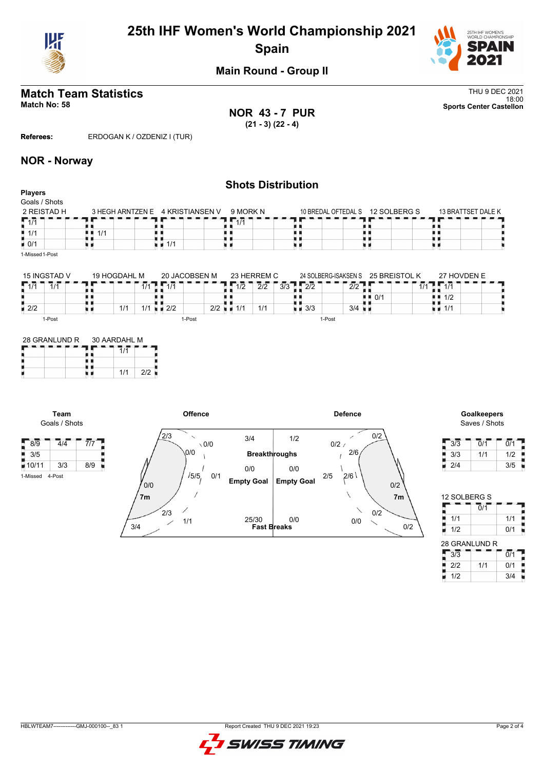

# **25th IHF Women's World Championship 2021 Spain**



**Main Round - Group II**

# **Match Team Statistics** Thu 9 DEC 2021

**NOR 43 - 7 PUR (21 - 3) (22 - 4)**

18:00 **Match No: 58 Sports Center Castellon**

**Referees:** ERDOGAN K / OZDENIZ I (TUR)

### **NOR - Norway**

| <b>Shots Distribution</b><br><b>Players</b> |            |                                  |          |  |                                  |                    |  |  |  |  |
|---------------------------------------------|------------|----------------------------------|----------|--|----------------------------------|--------------------|--|--|--|--|
| Goals / Shots                               |            |                                  |          |  |                                  |                    |  |  |  |  |
| 2 REISTAD H                                 |            | 3 HEGH ARNTZEN E 4 KRISTIANSEN V | 9 MORK N |  | 10 BREDAL OFTEDAL S 12 SOLBERG S | 13 BRATTSET DALE K |  |  |  |  |
| $\sqrt{1/1}$                                |            |                                  | 1/1      |  |                                  |                    |  |  |  |  |
| $\blacksquare$ 1/1                          | 1/1<br>. . |                                  |          |  |                                  |                    |  |  |  |  |
| $\bullet$ 0/1                               |            | $\blacksquare$ 1/1               |          |  |                                  |                    |  |  |  |  |
| 1-Missed 1-Post                             |            |                                  |          |  |                                  |                    |  |  |  |  |

| 15 INGSTAD V       | 19 HOGDAHL M           | 20 JACOBSEN M | 23 HERREM C |            | 24 SOLBERG-ISAKSEN S | 25 BREISTOL K      | 27 HOVDEN F |
|--------------------|------------------------|---------------|-------------|------------|----------------------|--------------------|-------------|
| 1/1<br>1/1<br>. .  | l 11                   | - 74          | 10<br>17 Z  | 2/2<br>3/3 | 010<br>2/2<br>212    | 17<br>$\mathbf{L}$ | 414         |
|                    |                        |               |             |            |                      | 0/1<br>. .         | 1/2         |
| $\blacksquare$ 2/2 | 1/1<br>$\overline{14}$ | 2/2<br>2/2    | 1/1         | 1/1        | 3/3<br>3/4           |                    | 1/1         |
| 1-Post             |                        | 1-Post        |             |            | ı-Post               |                    |             |

| 28 GRANLUND R | 30 AARDAHL M |     |     |  |  |  |  |  |
|---------------|--------------|-----|-----|--|--|--|--|--|
|               |              |     |     |  |  |  |  |  |
|               |              |     |     |  |  |  |  |  |
|               |              | 1/1 | 212 |  |  |  |  |  |

3/5

1-Missed 4-Post





| 3/3 | 0/1 | 0/1 |
|-----|-----|-----|
| 3/3 | 1/1 | 1/2 |
| 2/4 |     | 3/5 |

| 12 SOLBERG S                |                             |                  |  |
|-----------------------------|-----------------------------|------------------|--|
|                             | $\overline{0}/\overline{1}$ |                  |  |
| 1/1                         |                             | 1/1              |  |
| 1/2                         |                             | 0/1              |  |
| 28 GRANLUND R               |                             |                  |  |
| $\overline{3}/\overline{3}$ |                             | $\overline{0/1}$ |  |
| 2/2                         | 1/1                         | 0/1              |  |
| 1/2                         |                             | 3/4              |  |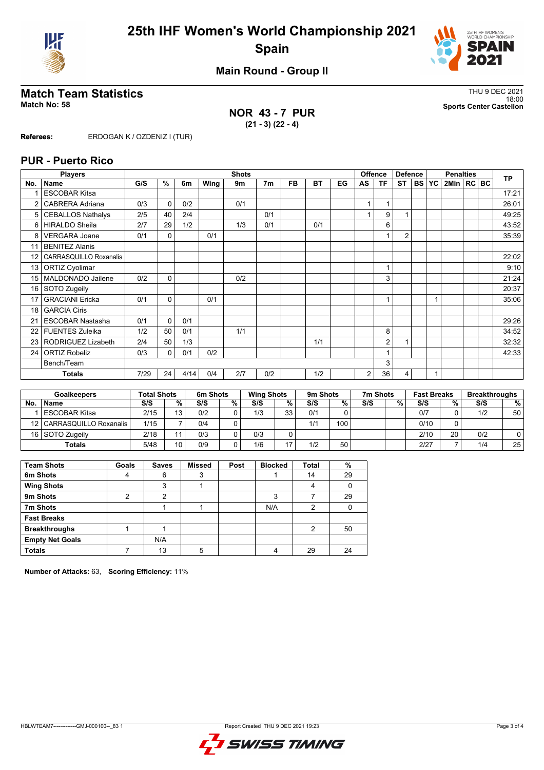



**Main Round - Group II**

## **Match Team Statistics** Thus and the statistics of the statistics of the statistics of the statistics of the statistics of the statistics of the statistics of the statistics of the statistics of the statistics of the stati

**NOR 43 - 7 PUR (21 - 3) (22 - 4)**

18:00 **Match No: 58 Sports Center Castellon**

**Referees:** ERDOGAN K / OZDENIZ I (TUR)

#### **PUR - Puerto Rico**

|                 | <b>Players</b>                |      |              |      |      | <b>Shots</b> |                |           |           |    |    | <b>Offence</b> | <b>Defence</b> |              |   | <b>Penalties</b> |  | <b>TP</b> |
|-----------------|-------------------------------|------|--------------|------|------|--------------|----------------|-----------|-----------|----|----|----------------|----------------|--------------|---|------------------|--|-----------|
| No.             | <b>Name</b>                   | G/S  | %            | 6m   | Wing | 9m           | 7 <sub>m</sub> | <b>FB</b> | <b>BT</b> | EG | AS | <b>TF</b>      | <b>ST</b>      | <b>BS YC</b> |   | 2Min   RC BC     |  |           |
|                 | <b>ESCOBAR Kitsa</b>          |      |              |      |      |              |                |           |           |    |    |                |                |              |   |                  |  | 17:21     |
| 2               | <b>CABRERA Adriana</b>        | 0/3  | $\Omega$     | 0/2  |      | 0/1          |                |           |           |    |    |                |                |              |   |                  |  | 26:01     |
| 5               | <b>CEBALLOS Nathalys</b>      | 2/5  | 40           | 2/4  |      |              | 0/1            |           |           |    |    | 9              |                |              |   |                  |  | 49:25     |
| 6               | <b>HIRALDO Sheila</b>         | 2/7  | 29           | 1/2  |      | 1/3          | 0/1            |           | 0/1       |    |    | 6              |                |              |   |                  |  | 43:52     |
| 8               | <b>VERGARA Joane</b>          | 0/1  | $\mathbf{0}$ |      | 0/1  |              |                |           |           |    |    |                | $\overline{2}$ |              |   |                  |  | 35:39     |
| 11              | <b>BENITEZ Alanis</b>         |      |              |      |      |              |                |           |           |    |    |                |                |              |   |                  |  |           |
| 12              | <b>CARRASQUILLO Roxanalis</b> |      |              |      |      |              |                |           |           |    |    |                |                |              |   |                  |  | 22:02     |
| 13              | <b>ORTIZ Cyolimar</b>         |      |              |      |      |              |                |           |           |    |    |                |                |              |   |                  |  | 9:10      |
| 15 <sup>1</sup> | MALDONADO Jailene             | 0/2  | 0            |      |      | 0/2          |                |           |           |    |    | 3              |                |              |   |                  |  | 21:24     |
| 16              | SOTO Zugeily                  |      |              |      |      |              |                |           |           |    |    |                |                |              |   |                  |  | 20:37     |
| 17              | <b>GRACIANI Ericka</b>        | 0/1  | 0            |      | 0/1  |              |                |           |           |    |    |                |                |              | 1 |                  |  | 35:06     |
| 18              | <b>GARCIA Ciris</b>           |      |              |      |      |              |                |           |           |    |    |                |                |              |   |                  |  |           |
| 21              | <b>ESCOBAR Nastasha</b>       | 0/1  | $\Omega$     | 0/1  |      |              |                |           |           |    |    |                |                |              |   |                  |  | 29:26     |
| 22              | <b>FUENTES Zuleika</b>        | 1/2  | 50           | 0/1  |      | 1/1          |                |           |           |    |    | 8              |                |              |   |                  |  | 34:52     |
| 23              | RODRIGUEZ Lizabeth            | 2/4  | 50           | 1/3  |      |              |                |           | 1/1       |    |    | $\overline{2}$ |                |              |   |                  |  | 32:32     |
| 24              | <b>ORTIZ Robeliz</b>          | 0/3  | 0            | 0/1  | 0/2  |              |                |           |           |    |    |                |                |              |   |                  |  | 42:33     |
|                 | Bench/Team                    |      |              |      |      |              |                |           |           |    |    | 3              |                |              |   |                  |  |           |
|                 | <b>Totals</b>                 | 7/29 | 24           | 4/14 | 0/4  | 2/7          | 0/2            |           | 1/2       |    | 2  | 36             | $\overline{4}$ |              | 1 |                  |  |           |

| <b>Goalkeepers</b> |                             |      | <b>Total Shots</b> |     | 6m Shots |     | <b>Wing Shots</b> |     | 9m Shots |     | 7m Shots |      | <b>Fast Breaks</b> |     | <b>Breakthroughs</b> |
|--------------------|-----------------------------|------|--------------------|-----|----------|-----|-------------------|-----|----------|-----|----------|------|--------------------|-----|----------------------|
| <b>No</b>          | <b>Name</b>                 | S/S  | %                  | S/S | $\%$     | S/S | %                 | S/S | %        | S/S | %        | S/S  | %                  | S/S | %                    |
|                    | <b>ESCOBAR Kitsa</b>        | 2/15 | 13                 | 0/2 |          | 1/3 | วว                | 0/1 |          |     |          | 0/7  |                    | 1/2 | 50                   |
|                    | 12   CARRASQUILLO Roxanalis | 1/15 |                    | 0/4 |          |     |                   | 1/1 | 100      |     |          | 0/10 |                    |     |                      |
|                    | 16 SOTO Zugeily             | 2/18 |                    | 0/3 |          | 0/3 |                   |     |          |     |          | 2/10 | 20                 | 0/2 | U                    |
|                    | <b>Totals</b>               | 5/48 | 10                 | 0/9 |          | 1/6 | េ                 | 1/2 | 50       |     |          | 2/27 |                    | 1/4 | 25                   |

| <b>Team Shots</b>      | Goals | <b>Saves</b> | <b>Missed</b> | Post | <b>Blocked</b> | <b>Total</b> | %  |
|------------------------|-------|--------------|---------------|------|----------------|--------------|----|
| 6m Shots               | 4     | 6            | 3             |      |                | 14           | 29 |
| <b>Wing Shots</b>      |       | 3            |               |      |                |              |    |
| 9m Shots               | 2     | 2            |               |      | 3              |              | 29 |
| 7m Shots               |       |              |               |      | N/A            | 2            |    |
| <b>Fast Breaks</b>     |       |              |               |      |                |              |    |
| <b>Breakthroughs</b>   |       |              |               |      |                | 2            | 50 |
| <b>Empty Net Goals</b> |       | N/A          |               |      |                |              |    |
| <b>Totals</b>          |       | 13           | 5             |      |                | 29           | 24 |

**Number of Attacks:** 63, **Scoring Efficiency:** 11%